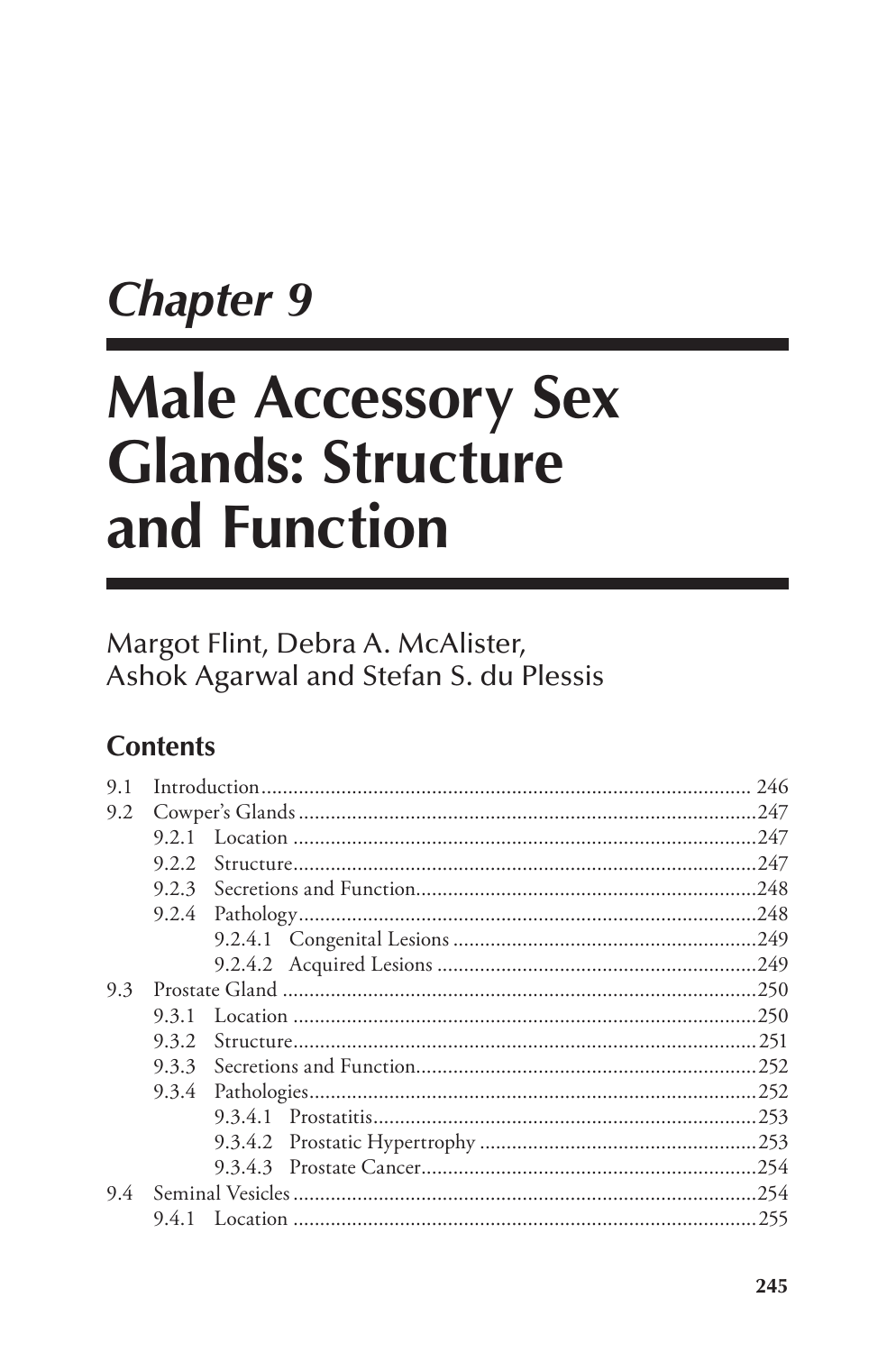# **Chapter 9**

# **Male Accessory Sex Glands: Structure** and Function

# Margot Flint, Debra A. McAlister, Ashok Agarwal and Stefan S. du Plessis

# **Contents**

| 9.1 |       |  |  |
|-----|-------|--|--|
| 9.2 |       |  |  |
|     | 9.2.1 |  |  |
|     | 9.2.2 |  |  |
|     | 9.2.3 |  |  |
|     | 9.2.4 |  |  |
|     |       |  |  |
|     |       |  |  |
| 9.3 |       |  |  |
|     | 9.3.1 |  |  |
|     | 9.3.2 |  |  |
|     | 9.3.3 |  |  |
|     |       |  |  |
|     |       |  |  |
|     |       |  |  |
|     |       |  |  |
| 9.4 |       |  |  |
|     | 9.4.1 |  |  |
|     |       |  |  |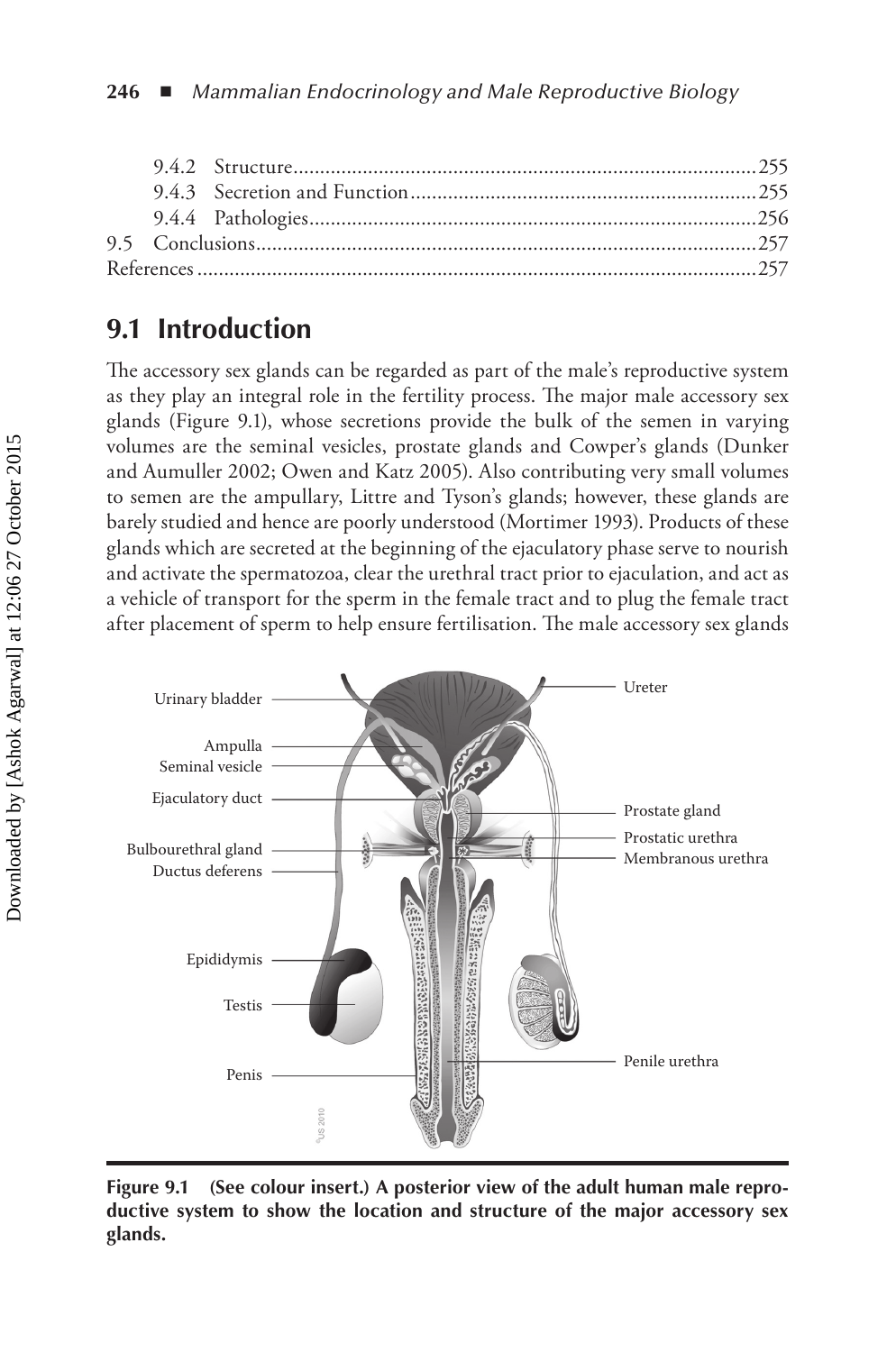# **9.1 Introduction**

The accessory sex glands can be regarded as part of the male's reproductive system as they play an integral role in the fertility process. The major male accessory sex glands (Figure 9.1), whose secretions provide the bulk of the semen in varying volumes are the seminal vesicles, prostate glands and Cowper's glands (Dunker and Aumuller 2002; Owen and Katz 2005). Also contributing very small volumes to semen are the ampullary, Littre and Tyson's glands; however, these glands are barely studied and hence are poorly understood (Mortimer 1993). Products of these glands which are secreted at the beginning of the ejaculatory phase serve to nourish and activate the spermatozoa, clear the urethral tract prior to ejaculation, and act as a vehicle of transport for the sperm in the female tract and to plug the female tract after placement of sperm to help ensure fertilisation. The male accessory sex glands



**Figure 9.1 (See colour insert.) A posterior view of the adult human male reproductive system to show the location and structure of the major accessory sex glands.**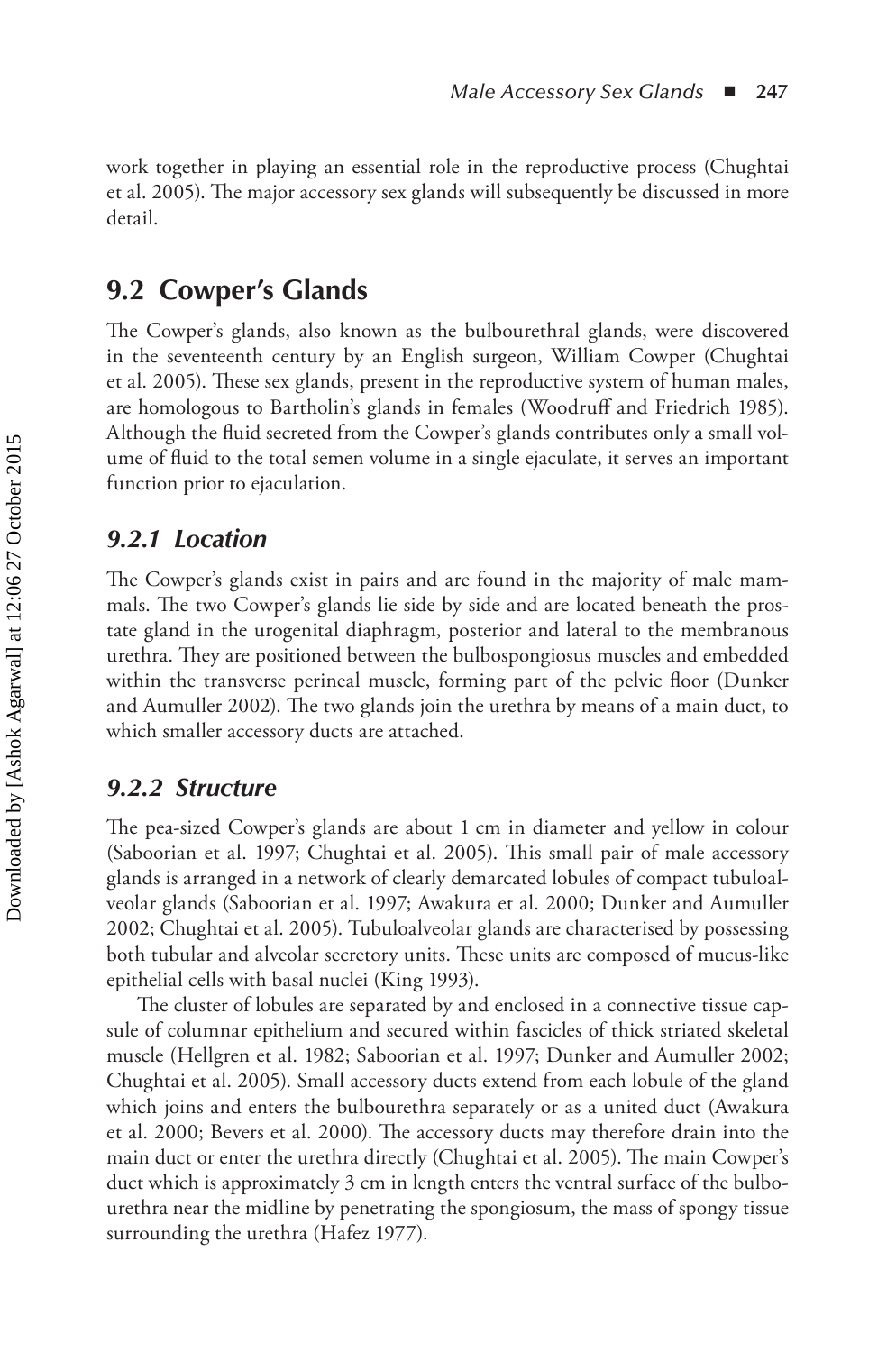work together in playing an essential role in the reproductive process (Chughtai et al. 2005). The major accessory sex glands will subsequently be discussed in more detail.

## **9.2 Cowper's Glands**

The Cowper's glands, also known as the bulbourethral glands, were discovered in the seventeenth century by an English surgeon, William Cowper (Chughtai et al. 2005). These sex glands, present in the reproductive system of human males, are homologous to Bartholin's glands in females (Woodruff and Friedrich 1985). Although the fluid secreted from the Cowper's glands contributes only a small volume of fluid to the total semen volume in a single ejaculate, it serves an important function prior to ejaculation.

## *9.2.1 Location*

The Cowper's glands exist in pairs and are found in the majority of male mammals. The two Cowper's glands lie side by side and are located beneath the prostate gland in the urogenital diaphragm, posterior and lateral to the membranous urethra. They are positioned between the bulbospongiosus muscles and embedded within the transverse perineal muscle, forming part of the pelvic floor (Dunker and Aumuller 2002). The two glands join the urethra by means of a main duct, to which smaller accessory ducts are attached.

## *9.2.2 Structure*

The pea-sized Cowper's glands are about 1 cm in diameter and yellow in colour (Saboorian et al. 1997; Chughtai et al. 2005). This small pair of male accessory glands is arranged in a network of clearly demarcated lobules of compact tubuloalveolar glands (Saboorian et al. 1997; Awakura et al. 2000; Dunker and Aumuller 2002; Chughtai et al. 2005). Tubuloalveolar glands are characterised by possessing both tubular and alveolar secretory units. These units are composed of mucus-like epithelial cells with basal nuclei (King 1993).

The cluster of lobules are separated by and enclosed in a connective tissue capsule of columnar epithelium and secured within fascicles of thick striated skeletal muscle (Hellgren et al. 1982; Saboorian et al. 1997; Dunker and Aumuller 2002; Chughtai et al. 2005). Small accessory ducts extend from each lobule of the gland which joins and enters the bulbourethra separately or as a united duct (Awakura et al. 2000; Bevers et al. 2000). The accessory ducts may therefore drain into the main duct or enter the urethra directly (Chughtai et al. 2005). The main Cowper's duct which is approximately 3 cm in length enters the ventral surface of the bulbourethra near the midline by penetrating the spongiosum, the mass of spongy tissue surrounding the urethra (Hafez 1977).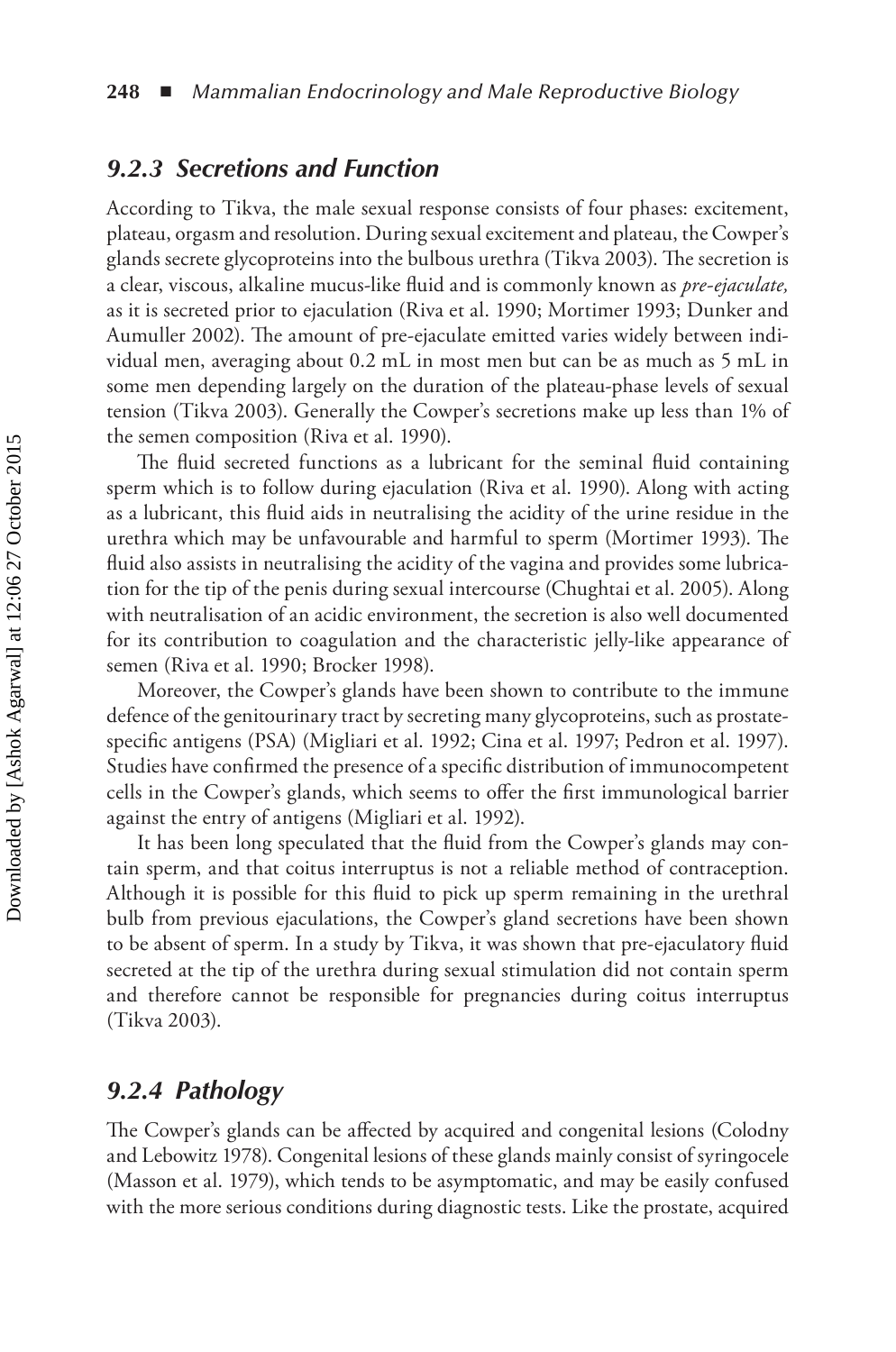#### *9.2.3 Secretions and Function*

According to Tikva, the male sexual response consists of four phases: excitement, plateau, orgasm and resolution. During sexual excitement and plateau, the Cowper's glands secrete glycoproteins into the bulbous urethra (Tikva 2003). The secretion is a clear, viscous, alkaline mucus-like fluid and is commonly known as *pre-ejaculate,* as it is secreted prior to ejaculation (Riva et al. 1990; Mortimer 1993; Dunker and Aumuller 2002). The amount of pre-ejaculate emitted varies widely between individual men, averaging about 0.2 mL in most men but can be as much as 5 mL in some men depending largely on the duration of the plateau-phase levels of sexual tension (Tikva 2003). Generally the Cowper's secretions make up less than 1% of the semen composition (Riva et al. 1990).

The fluid secreted functions as a lubricant for the seminal fluid containing sperm which is to follow during ejaculation (Riva et al. 1990). Along with acting as a lubricant, this fluid aids in neutralising the acidity of the urine residue in the urethra which may be unfavourable and harmful to sperm (Mortimer 1993). The fluid also assists in neutralising the acidity of the vagina and provides some lubrication for the tip of the penis during sexual intercourse (Chughtai et al. 2005). Along with neutralisation of an acidic environment, the secretion is also well documented for its contribution to coagulation and the characteristic jelly-like appearance of semen (Riva et al. 1990; Brocker 1998).

Moreover, the Cowper's glands have been shown to contribute to the immune defence of the genitourinary tract by secreting many glycoproteins, such as prostatespecific antigens (PSA) (Migliari et al. 1992; Cina et al. 1997; Pedron et al. 1997). Studies have confirmed the presence of a specific distribution of immunocompetent cells in the Cowper's glands, which seems to offer the first immunological barrier against the entry of antigens (Migliari et al. 1992).

It has been long speculated that the fluid from the Cowper's glands may contain sperm, and that coitus interruptus is not a reliable method of contraception. Although it is possible for this fluid to pick up sperm remaining in the urethral bulb from previous ejaculations, the Cowper's gland secretions have been shown to be absent of sperm. In a study by Tikva, it was shown that pre-ejaculatory fluid secreted at the tip of the urethra during sexual stimulation did not contain sperm and therefore cannot be responsible for pregnancies during coitus interruptus (Tikva 2003).

#### *9.2.4 Pathology*

The Cowper's glands can be affected by acquired and congenital lesions (Colodny and Lebowitz 1978). Congenital lesions of these glands mainly consist of syringocele (Masson et al. 1979), which tends to be asymptomatic, and may be easily confused with the more serious conditions during diagnostic tests. Like the prostate, acquired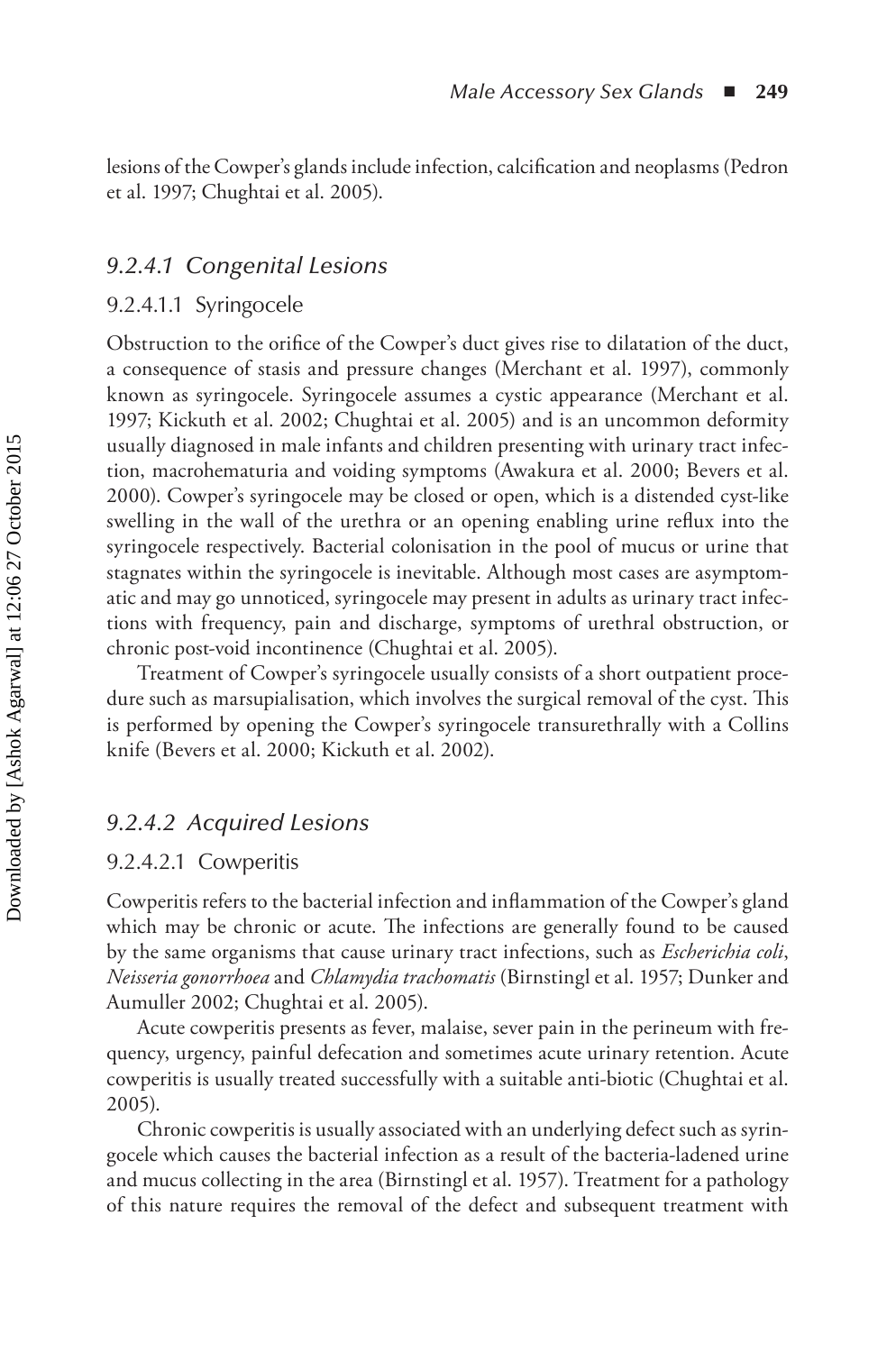lesions of the Cowper's glands include infection, calcification and neoplasms (Pedron et al. 1997; Chughtai et al. 2005).

#### *9.2.4.1 Congenital Lesions*

#### 9.2.4.1.1 Syringocele

Obstruction to the orifice of the Cowper's duct gives rise to dilatation of the duct, a consequence of stasis and pressure changes (Merchant et al. 1997), commonly known as syringocele. Syringocele assumes a cystic appearance (Merchant et al. 1997; Kickuth et al. 2002; Chughtai et al. 2005) and is an uncommon deformity usually diagnosed in male infants and children presenting with urinary tract infection, macrohematuria and voiding symptoms (Awakura et al. 2000; Bevers et al. 2000). Cowper's syringocele may be closed or open, which is a distended cyst-like swelling in the wall of the urethra or an opening enabling urine reflux into the syringocele respectively. Bacterial colonisation in the pool of mucus or urine that stagnates within the syringocele is inevitable. Although most cases are asymptomatic and may go unnoticed, syringocele may present in adults as urinary tract infections with frequency, pain and discharge, symptoms of urethral obstruction, or chronic post-void incontinence (Chughtai et al. 2005).

Treatment of Cowper's syringocele usually consists of a short outpatient procedure such as marsupialisation, which involves the surgical removal of the cyst. This is performed by opening the Cowper's syringocele transurethrally with a Collins knife (Bevers et al. 2000; Kickuth et al. 2002).

#### *9.2.4.2 Acquired Lesions*

#### 9.2.4.2.1 Cowperitis

Cowperitis refers to the bacterial infection and inflammation of the Cowper's gland which may be chronic or acute. The infections are generally found to be caused by the same organisms that cause urinary tract infections, such as *Escherichia coli*, *Neisseria gonorrhoea* and *Chlamydia trachomatis* (Birnstingl et al. 1957; Dunker and Aumuller 2002; Chughtai et al. 2005).

Acute cowperitis presents as fever, malaise, sever pain in the perineum with frequency, urgency, painful defecation and sometimes acute urinary retention. Acute cowperitis is usually treated successfully with a suitable anti-biotic (Chughtai et al. 2005).

Chronic cowperitis is usually associated with an underlying defect such as syringocele which causes the bacterial infection as a result of the bacteria-ladened urine and mucus collecting in the area (Birnstingl et al. 1957). Treatment for a pathology of this nature requires the removal of the defect and subsequent treatment with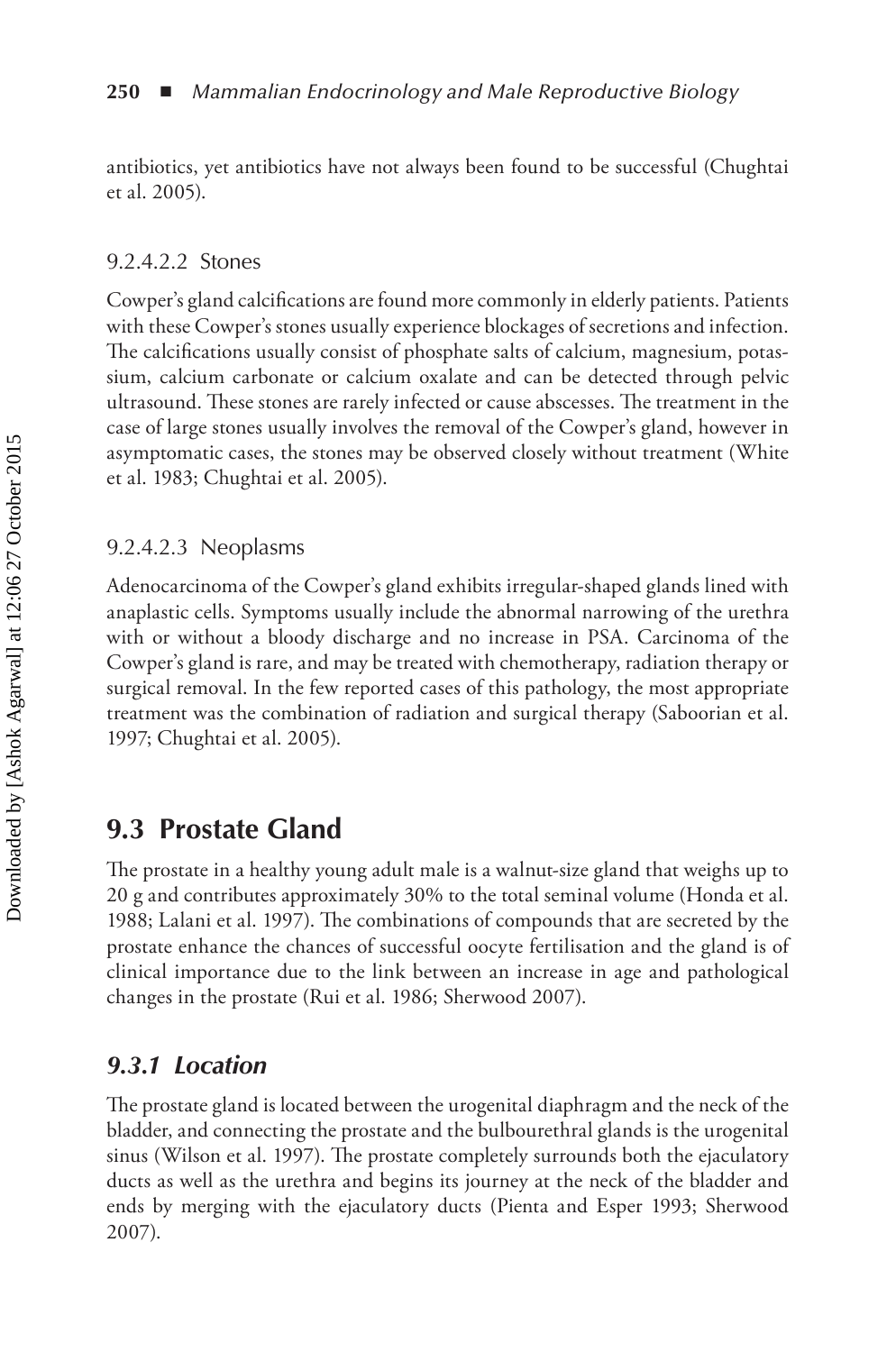antibiotics, yet antibiotics have not always been found to be successful (Chughtai et al. 2005).

#### 9.2.4.2.2 Stones

Cowper's gland calcifications are found more commonly in elderly patients. Patients with these Cowper's stones usually experience blockages of secretions and infection. The calcifications usually consist of phosphate salts of calcium, magnesium, potassium, calcium carbonate or calcium oxalate and can be detected through pelvic ultrasound. These stones are rarely infected or cause abscesses. The treatment in the case of large stones usually involves the removal of the Cowper's gland, however in asymptomatic cases, the stones may be observed closely without treatment (White et al. 1983; Chughtai et al. 2005).

#### 9.2.4.2.3 Neoplasms

Adenocarcinoma of the Cowper's gland exhibits irregular-shaped glands lined with anaplastic cells. Symptoms usually include the abnormal narrowing of the urethra with or without a bloody discharge and no increase in PSA. Carcinoma of the Cowper's gland is rare, and may be treated with chemotherapy, radiation therapy or surgical removal. In the few reported cases of this pathology, the most appropriate treatment was the combination of radiation and surgical therapy (Saboorian et al. 1997; Chughtai et al. 2005).

## **9.3 Prostate Gland**

The prostate in a healthy young adult male is a walnut-size gland that weighs up to 20 g and contributes approximately 30% to the total seminal volume (Honda et al. 1988; Lalani et al. 1997). The combinations of compounds that are secreted by the prostate enhance the chances of successful oocyte fertilisation and the gland is of clinical importance due to the link between an increase in age and pathological changes in the prostate (Rui et al. 1986; Sherwood 2007).

## *9.3.1 Location*

The prostate gland is located between the urogenital diaphragm and the neck of the bladder, and connecting the prostate and the bulbourethral glands is the urogenital sinus (Wilson et al. 1997). The prostate completely surrounds both the ejaculatory ducts as well as the urethra and begins its journey at the neck of the bladder and ends by merging with the ejaculatory ducts (Pienta and Esper 1993; Sherwood 2007).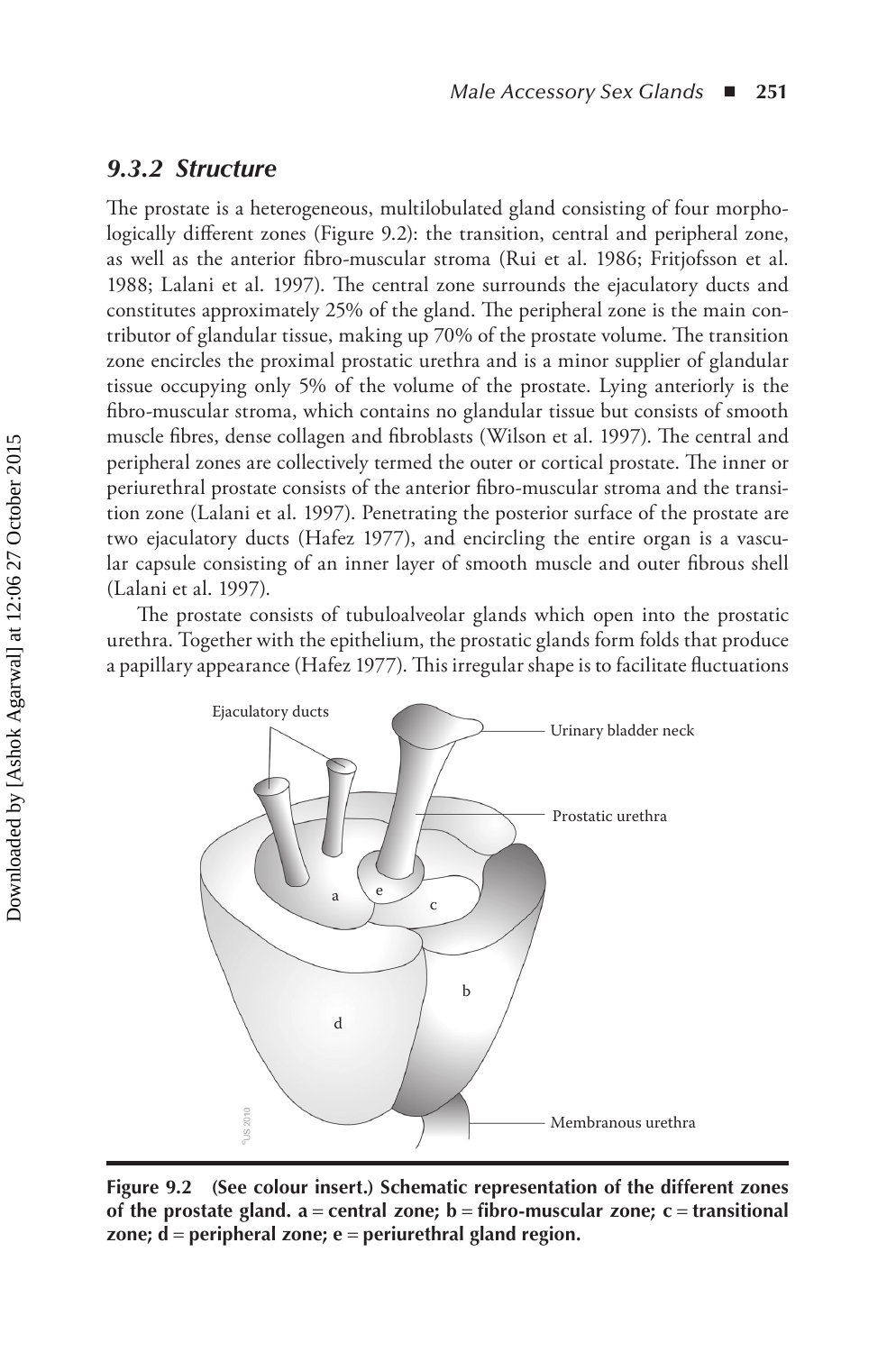#### *9.3.2 Structure*

The prostate is a heterogeneous, multilobulated gland consisting of four morphologically different zones (Figure 9.2): the transition, central and peripheral zone, as well as the anterior fibro-muscular stroma (Rui et al. 1986; Fritjofsson et al. 1988; Lalani et al. 1997). The central zone surrounds the ejaculatory ducts and constitutes approximately 25% of the gland. The peripheral zone is the main contributor of glandular tissue, making up 70% of the prostate volume. The transition zone encircles the proximal prostatic urethra and is a minor supplier of glandular tissue occupying only 5% of the volume of the prostate. Lying anteriorly is the fibro-muscular stroma, which contains no glandular tissue but consists of smooth muscle fibres, dense collagen and fibroblasts (Wilson et al. 1997). The central and peripheral zones are collectively termed the outer or cortical prostate. The inner or periurethral prostate consists of the anterior fibro-muscular stroma and the transition zone (Lalani et al. 1997). Penetrating the posterior surface of the prostate are two ejaculatory ducts (Hafez 1977), and encircling the entire organ is a vascular capsule consisting of an inner layer of smooth muscle and outer fibrous shell (Lalani et al. 1997).

The prostate consists of tubuloalveolar glands which open into the prostatic urethra. Together with the epithelium, the prostatic glands form folds that produce a papillary appearance (Hafez 1977). This irregular shape is to facilitate fluctuations



**Figure 9.2 (See colour insert.) Schematic representation of the different zones of the prostate gland. a** = **central zone; b** = **fibro-muscular zone; c** = **transitional zone; d** = **peripheral zone; e** = **periurethral gland region.**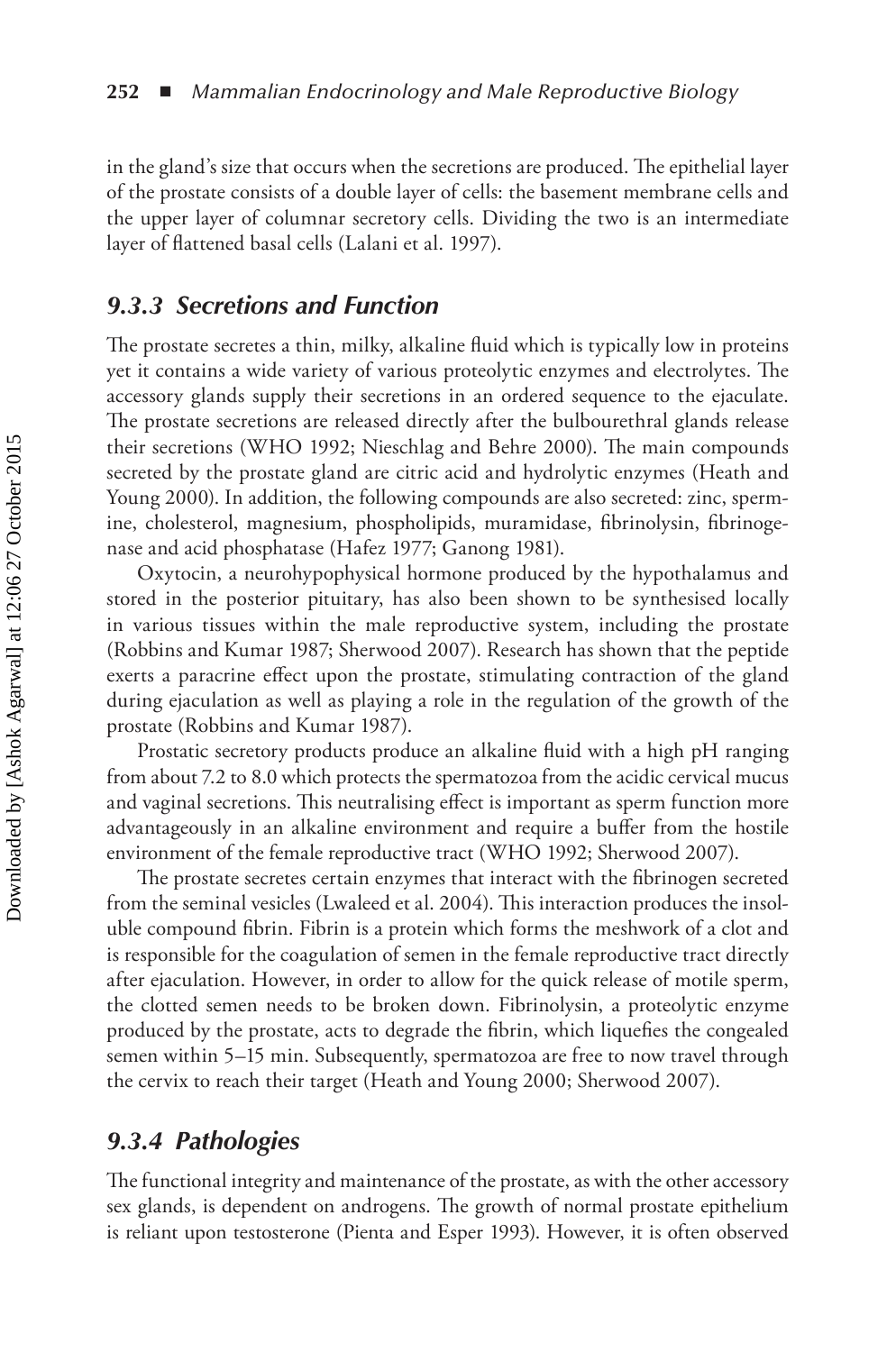in the gland's size that occurs when the secretions are produced. The epithelial layer of the prostate consists of a double layer of cells: the basement membrane cells and the upper layer of columnar secretory cells. Dividing the two is an intermediate layer of flattened basal cells (Lalani et al. 1997).

#### *9.3.3 Secretions and Function*

The prostate secretes a thin, milky, alkaline fluid which is typically low in proteins yet it contains a wide variety of various proteolytic enzymes and electrolytes. The accessory glands supply their secretions in an ordered sequence to the ejaculate. The prostate secretions are released directly after the bulbourethral glands release their secretions (WHO 1992; Nieschlag and Behre 2000). The main compounds secreted by the prostate gland are citric acid and hydrolytic enzymes (Heath and Young 2000). In addition, the following compounds are also secreted: zinc, spermine, cholesterol, magnesium, phospholipids, muramidase, fibrinolysin, fibrinogenase and acid phosphatase (Hafez 1977; Ganong 1981).

Oxytocin, a neurohypophysical hormone produced by the hypothalamus and stored in the posterior pituitary, has also been shown to be synthesised locally in various tissues within the male reproductive system, including the prostate (Robbins and Kumar 1987; Sherwood 2007). Research has shown that the peptide exerts a paracrine effect upon the prostate, stimulating contraction of the gland during ejaculation as well as playing a role in the regulation of the growth of the prostate (Robbins and Kumar 1987).

Prostatic secretory products produce an alkaline fluid with a high pH ranging from about 7.2 to 8.0 which protects the spermatozoa from the acidic cervical mucus and vaginal secretions. This neutralising effect is important as sperm function more advantageously in an alkaline environment and require a buffer from the hostile environment of the female reproductive tract (WHO 1992; Sherwood 2007).

The prostate secretes certain enzymes that interact with the fibrinogen secreted from the seminal vesicles (Lwaleed et al. 2004). This interaction produces the insoluble compound fibrin. Fibrin is a protein which forms the meshwork of a clot and is responsible for the coagulation of semen in the female reproductive tract directly after ejaculation. However, in order to allow for the quick release of motile sperm, the clotted semen needs to be broken down. Fibrinolysin, a proteolytic enzyme produced by the prostate, acts to degrade the fibrin, which liquefies the congealed semen within 5–15 min. Subsequently, spermatozoa are free to now travel through the cervix to reach their target (Heath and Young 2000; Sherwood 2007).

### *9.3.4 Pathologies*

The functional integrity and maintenance of the prostate, as with the other accessory sex glands, is dependent on androgens. The growth of normal prostate epithelium is reliant upon testosterone (Pienta and Esper 1993). However, it is often observed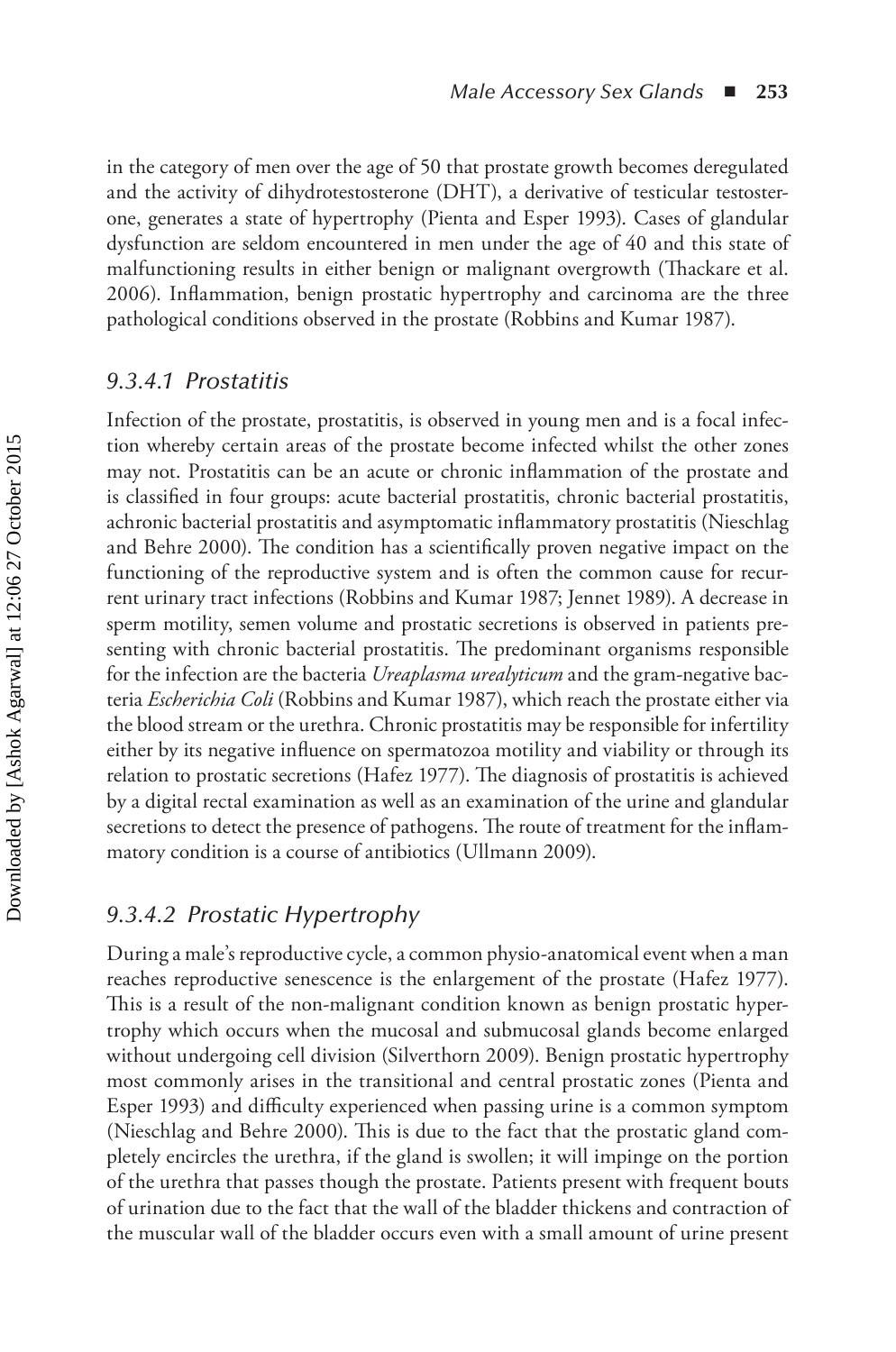in the category of men over the age of 50 that prostate growth becomes deregulated and the activity of dihydrotestosterone (DHT), a derivative of testicular testosterone, generates a state of hypertrophy (Pienta and Esper 1993). Cases of glandular dysfunction are seldom encountered in men under the age of 40 and this state of malfunctioning results in either benign or malignant overgrowth (Thackare et al. 2006). Inflammation, benign prostatic hypertrophy and carcinoma are the three pathological conditions observed in the prostate (Robbins and Kumar 1987).

#### *9.3.4.1 Prostatitis*

Infection of the prostate, prostatitis, is observed in young men and is a focal infection whereby certain areas of the prostate become infected whilst the other zones may not. Prostatitis can be an acute or chronic inflammation of the prostate and is classified in four groups: acute bacterial prostatitis, chronic bacterial prostatitis, achronic bacterial prostatitis and asymptomatic inflammatory prostatitis (Nieschlag and Behre 2000). The condition has a scientifically proven negative impact on the functioning of the reproductive system and is often the common cause for recurrent urinary tract infections (Robbins and Kumar 1987; Jennet 1989). A decrease in sperm motility, semen volume and prostatic secretions is observed in patients presenting with chronic bacterial prostatitis. The predominant organisms responsible for the infection are the bacteria *Ureaplasma urealyticum* and the gram-negative bacteria *Escherichia Coli* (Robbins and Kumar 1987), which reach the prostate either via the blood stream or the urethra. Chronic prostatitis may be responsible for infertility either by its negative influence on spermatozoa motility and viability or through its relation to prostatic secretions (Hafez 1977). The diagnosis of prostatitis is achieved by a digital rectal examination as well as an examination of the urine and glandular secretions to detect the presence of pathogens. The route of treatment for the inflammatory condition is a course of antibiotics (Ullmann 2009).

### *9.3.4.2 Prostatic Hypertrophy*

During a male's reproductive cycle, a common physio-anatomical event when a man reaches reproductive senescence is the enlargement of the prostate (Hafez 1977). This is a result of the non-malignant condition known as benign prostatic hypertrophy which occurs when the mucosal and submucosal glands become enlarged without undergoing cell division (Silverthorn 2009). Benign prostatic hypertrophy most commonly arises in the transitional and central prostatic zones (Pienta and Esper 1993) and difficulty experienced when passing urine is a common symptom (Nieschlag and Behre 2000). This is due to the fact that the prostatic gland completely encircles the urethra, if the gland is swollen; it will impinge on the portion of the urethra that passes though the prostate. Patients present with frequent bouts of urination due to the fact that the wall of the bladder thickens and contraction of the muscular wall of the bladder occurs even with a small amount of urine present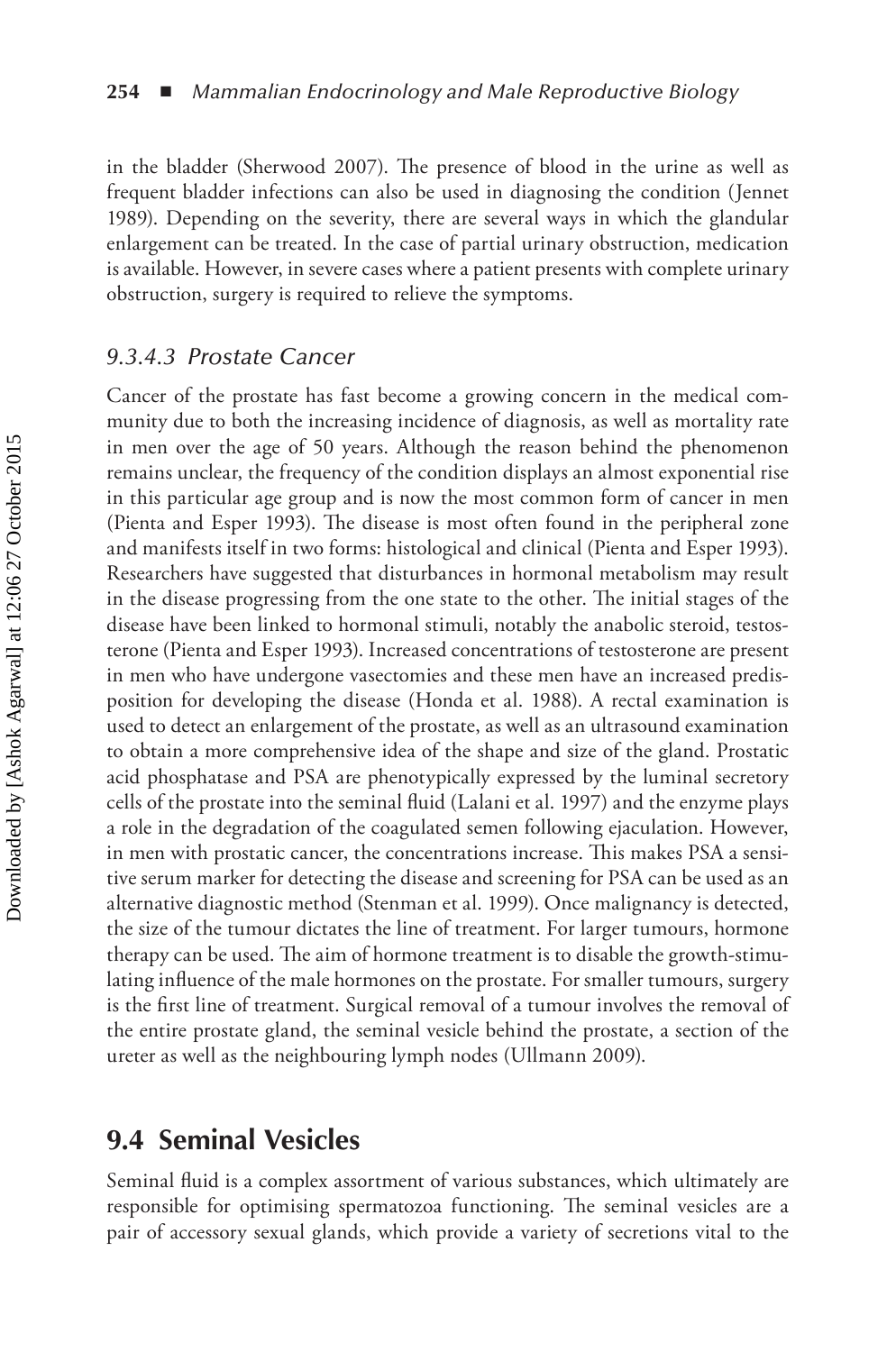in the bladder (Sherwood 2007). The presence of blood in the urine as well as frequent bladder infections can also be used in diagnosing the condition (Jennet 1989). Depending on the severity, there are several ways in which the glandular enlargement can be treated. In the case of partial urinary obstruction, medication is available. However, in severe cases where a patient presents with complete urinary obstruction, surgery is required to relieve the symptoms.

#### *9.3.4.3 Prostate Cancer*

Cancer of the prostate has fast become a growing concern in the medical community due to both the increasing incidence of diagnosis, as well as mortality rate in men over the age of 50 years. Although the reason behind the phenomenon remains unclear, the frequency of the condition displays an almost exponential rise in this particular age group and is now the most common form of cancer in men (Pienta and Esper 1993). The disease is most often found in the peripheral zone and manifests itself in two forms: histological and clinical (Pienta and Esper 1993). Researchers have suggested that disturbances in hormonal metabolism may result in the disease progressing from the one state to the other. The initial stages of the disease have been linked to hormonal stimuli, notably the anabolic steroid, testosterone (Pienta and Esper 1993). Increased concentrations of testosterone are present in men who have undergone vasectomies and these men have an increased predisposition for developing the disease (Honda et al. 1988). A rectal examination is used to detect an enlargement of the prostate, as well as an ultrasound examination to obtain a more comprehensive idea of the shape and size of the gland. Prostatic acid phosphatase and PSA are phenotypically expressed by the luminal secretory cells of the prostate into the seminal fluid (Lalani et al. 1997) and the enzyme plays a role in the degradation of the coagulated semen following ejaculation. However, in men with prostatic cancer, the concentrations increase. This makes PSA a sensitive serum marker for detecting the disease and screening for PSA can be used as an alternative diagnostic method (Stenman et al. 1999). Once malignancy is detected, the size of the tumour dictates the line of treatment. For larger tumours, hormone therapy can be used. The aim of hormone treatment is to disable the growth-stimulating influence of the male hormones on the prostate. For smaller tumours, surgery is the first line of treatment. Surgical removal of a tumour involves the removal of the entire prostate gland, the seminal vesicle behind the prostate, a section of the ureter as well as the neighbouring lymph nodes (Ullmann 2009).

## **9.4 Seminal Vesicles**

Seminal fluid is a complex assortment of various substances, which ultimately are responsible for optimising spermatozoa functioning. The seminal vesicles are a pair of accessory sexual glands, which provide a variety of secretions vital to the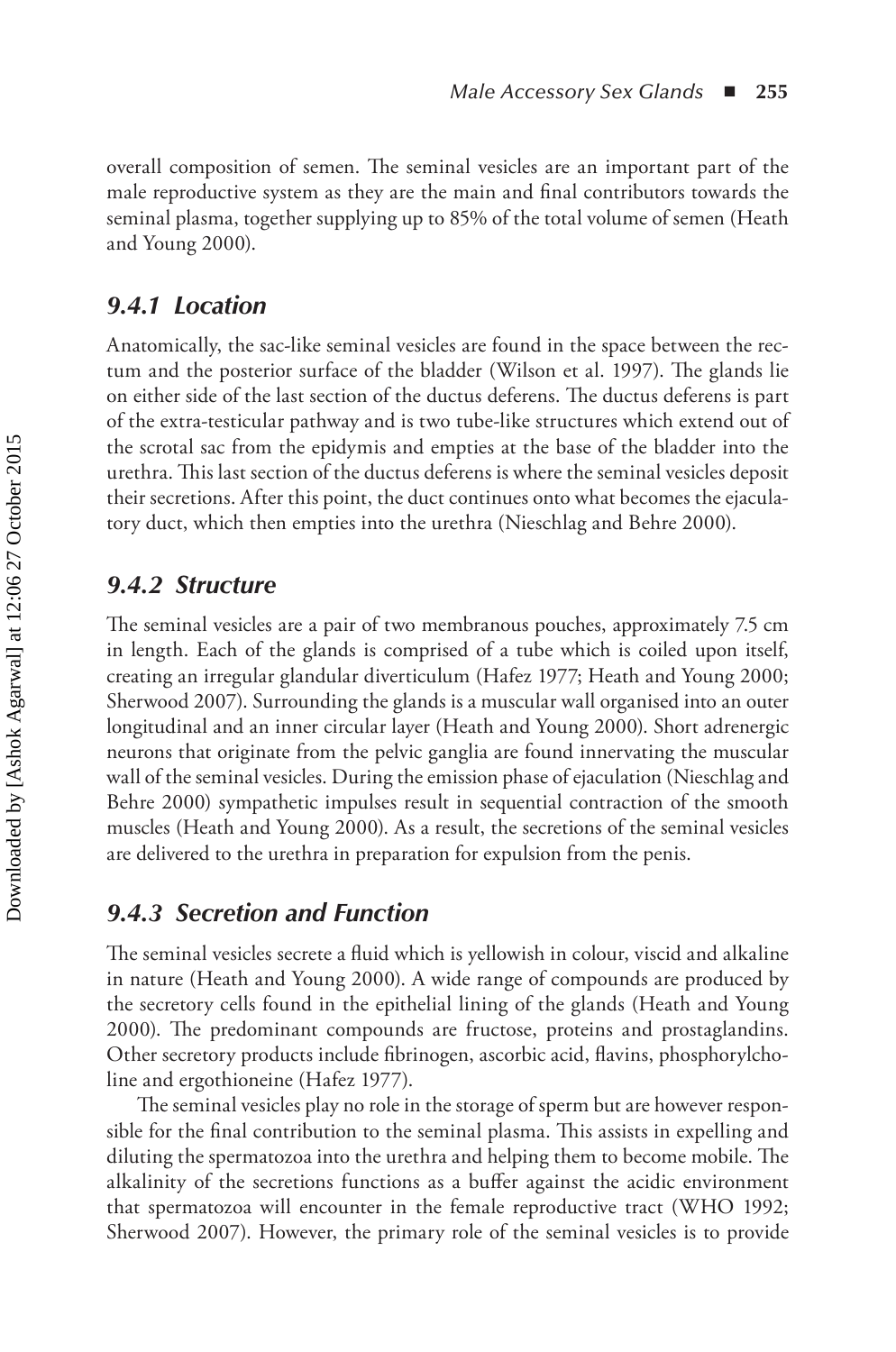overall composition of semen. The seminal vesicles are an important part of the male reproductive system as they are the main and final contributors towards the seminal plasma, together supplying up to 85% of the total volume of semen (Heath and Young 2000).

## *9.4.1 Location*

Anatomically, the sac-like seminal vesicles are found in the space between the rectum and the posterior surface of the bladder (Wilson et al. 1997). The glands lie on either side of the last section of the ductus deferens. The ductus deferens is part of the extra-testicular pathway and is two tube-like structures which extend out of the scrotal sac from the epidymis and empties at the base of the bladder into the urethra. This last section of the ductus deferens is where the seminal vesicles deposit their secretions. After this point, the duct continues onto what becomes the ejaculatory duct, which then empties into the urethra (Nieschlag and Behre 2000).

## *9.4.2 Structure*

The seminal vesicles are a pair of two membranous pouches, approximately 7.5 cm in length. Each of the glands is comprised of a tube which is coiled upon itself, creating an irregular glandular diverticulum (Hafez 1977; Heath and Young 2000; Sherwood 2007). Surrounding the glands is a muscular wall organised into an outer longitudinal and an inner circular layer (Heath and Young 2000). Short adrenergic neurons that originate from the pelvic ganglia are found innervating the muscular wall of the seminal vesicles. During the emission phase of ejaculation (Nieschlag and Behre 2000) sympathetic impulses result in sequential contraction of the smooth muscles (Heath and Young 2000). As a result, the secretions of the seminal vesicles are delivered to the urethra in preparation for expulsion from the penis.

## *9.4.3 Secretion and Function*

The seminal vesicles secrete a fluid which is yellowish in colour, viscid and alkaline in nature (Heath and Young 2000). A wide range of compounds are produced by the secretory cells found in the epithelial lining of the glands (Heath and Young 2000). The predominant compounds are fructose, proteins and prostaglandins. Other secretory products include fibrinogen, ascorbic acid, flavins, phosphorylcholine and ergothioneine (Hafez 1977).

The seminal vesicles play no role in the storage of sperm but are however responsible for the final contribution to the seminal plasma. This assists in expelling and diluting the spermatozoa into the urethra and helping them to become mobile. The alkalinity of the secretions functions as a buffer against the acidic environment that spermatozoa will encounter in the female reproductive tract (WHO 1992; Sherwood 2007). However, the primary role of the seminal vesicles is to provide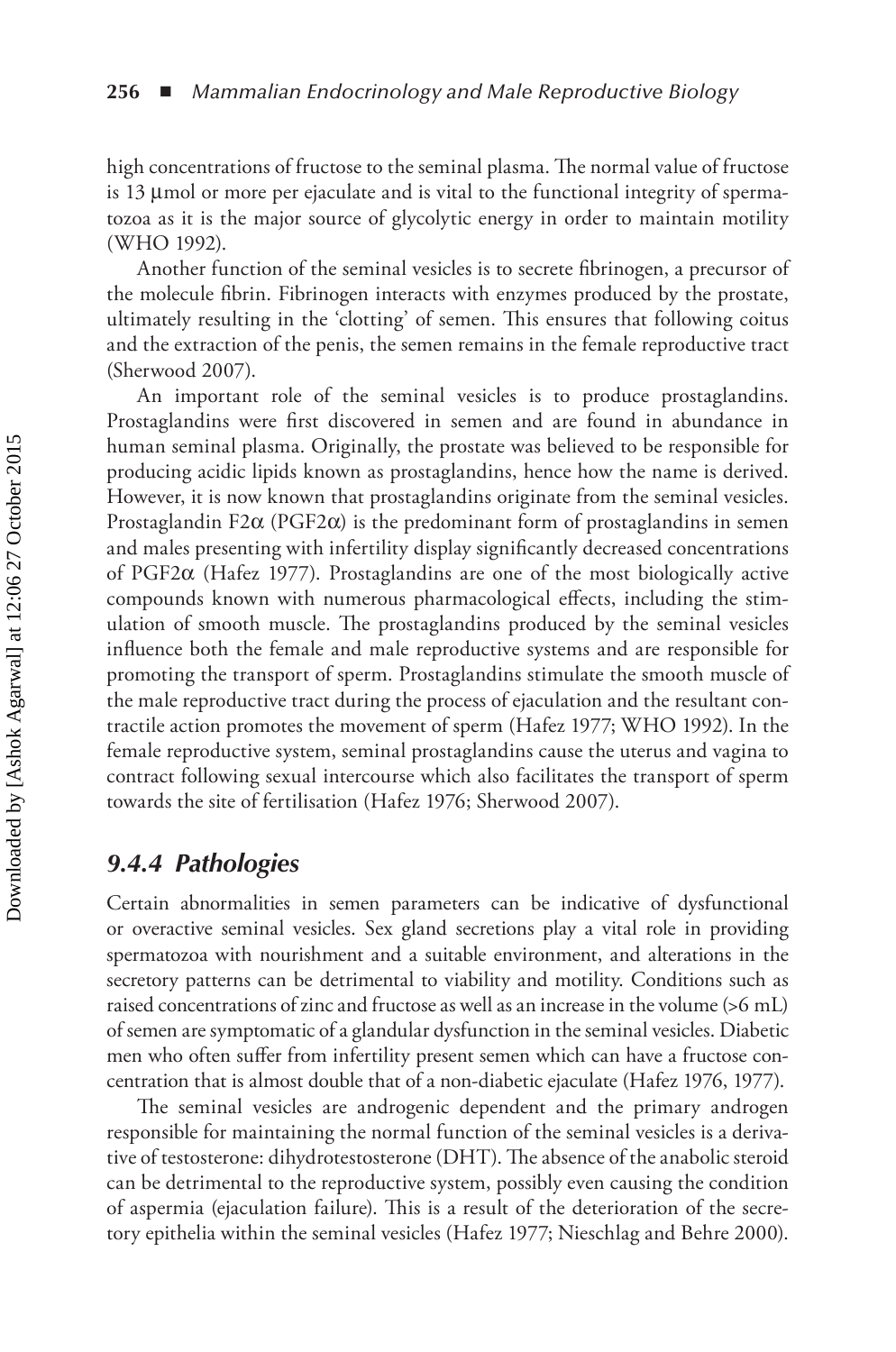high concentrations of fructose to the seminal plasma. The normal value of fructose is 13 µmol or more per ejaculate and is vital to the functional integrity of spermatozoa as it is the major source of glycolytic energy in order to maintain motility (WHO 1992).

Another function of the seminal vesicles is to secrete fibrinogen, a precursor of the molecule fibrin. Fibrinogen interacts with enzymes produced by the prostate, ultimately resulting in the 'clotting' of semen. This ensures that following coitus and the extraction of the penis, the semen remains in the female reproductive tract (Sherwood 2007).

An important role of the seminal vesicles is to produce prostaglandins. Prostaglandins were first discovered in semen and are found in abundance in human seminal plasma. Originally, the prostate was believed to be responsible for producing acidic lipids known as prostaglandins, hence how the name is derived. However, it is now known that prostaglandins originate from the seminal vesicles. Prostaglandin F2 $\alpha$  (PGF2 $\alpha$ ) is the predominant form of prostaglandins in semen and males presenting with infertility display significantly decreased concentrations of PGF2α (Hafez 1977). Prostaglandins are one of the most biologically active compounds known with numerous pharmacological effects, including the stimulation of smooth muscle. The prostaglandins produced by the seminal vesicles influence both the female and male reproductive systems and are responsible for promoting the transport of sperm. Prostaglandins stimulate the smooth muscle of the male reproductive tract during the process of ejaculation and the resultant contractile action promotes the movement of sperm (Hafez 1977; WHO 1992). In the female reproductive system, seminal prostaglandins cause the uterus and vagina to contract following sexual intercourse which also facilitates the transport of sperm towards the site of fertilisation (Hafez 1976; Sherwood 2007).

### *9.4.4 Pathologies*

Certain abnormalities in semen parameters can be indicative of dysfunctional or overactive seminal vesicles. Sex gland secretions play a vital role in providing spermatozoa with nourishment and a suitable environment, and alterations in the secretory patterns can be detrimental to viability and motility. Conditions such as raised concentrations of zinc and fructose as well as an increase in the volume (>6 mL) of semen are symptomatic of a glandular dysfunction in the seminal vesicles. Diabetic men who often suffer from infertility present semen which can have a fructose concentration that is almost double that of a non-diabetic ejaculate (Hafez 1976, 1977).

The seminal vesicles are androgenic dependent and the primary androgen responsible for maintaining the normal function of the seminal vesicles is a derivative of testosterone: dihydrotestosterone (DHT). The absence of the anabolic steroid can be detrimental to the reproductive system, possibly even causing the condition of aspermia (ejaculation failure). This is a result of the deterioration of the secretory epithelia within the seminal vesicles (Hafez 1977; Nieschlag and Behre 2000).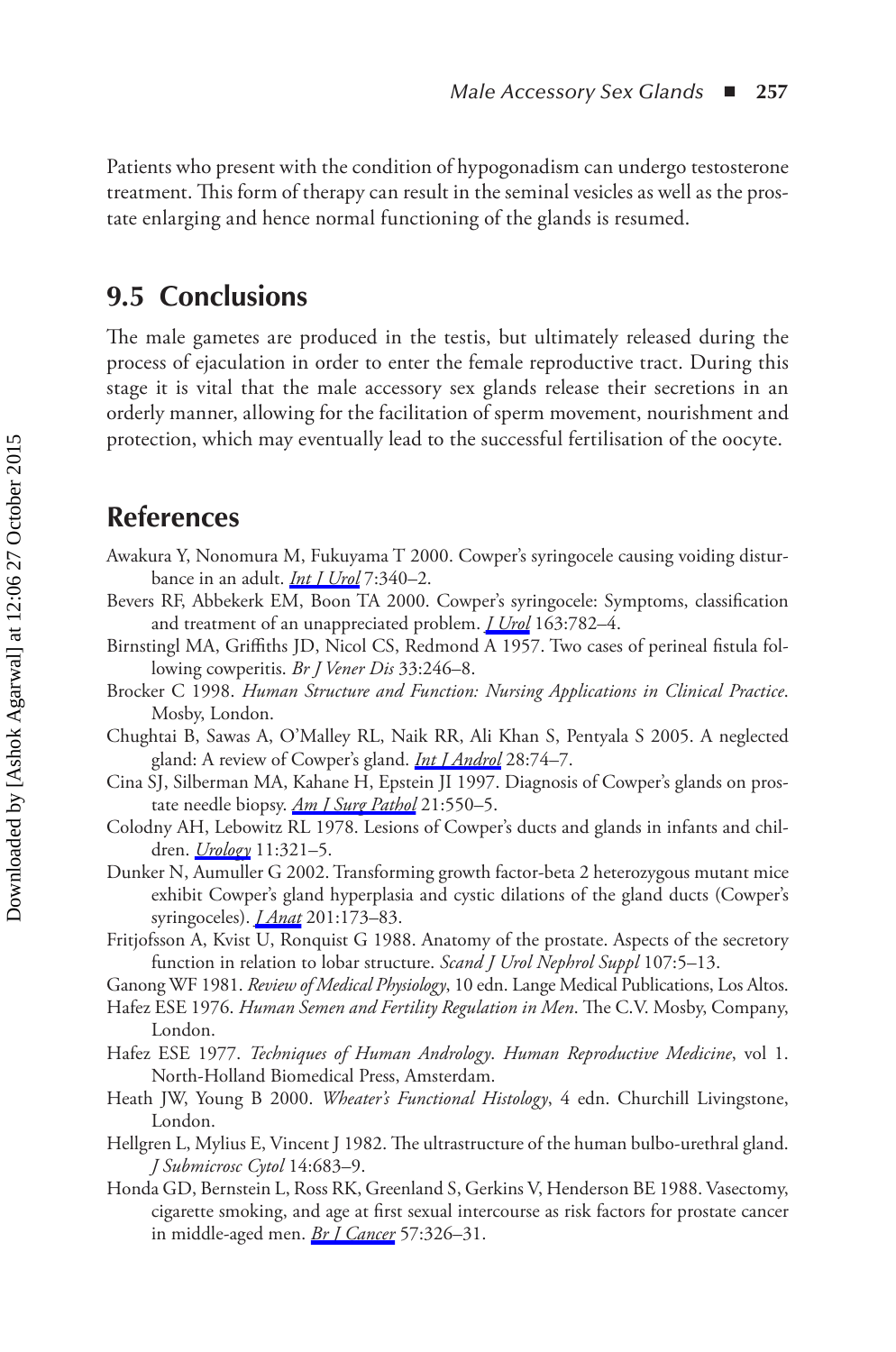Patients who present with the condition of hypogonadism can undergo testosterone treatment. This form of therapy can result in the seminal vesicles as well as the prostate enlarging and hence normal functioning of the glands is resumed.

## **9.5 Conclusions**

The male gametes are produced in the testis, but ultimately released during the process of ejaculation in order to enter the female reproductive tract. During this stage it is vital that the male accessory sex glands release their secretions in an orderly manner, allowing for the facilitation of sperm movement, nourishment and protection, which may eventually lead to the successful fertilisation of the oocyte.

## **References**

- Awakura Y, Nonomura M, Fukuyama T 2000. Cowper's syringocele causing voiding disturbance in an adult. *[Int J Urol](http://www.crcnetbase.com/action/showLinks?crossref=10.1046%2Fj.1442-2042.2000.00201.x)* 7:340–2.
- Bevers RF, Abbekerk EM, Boon TA 2000. Cowper's syringocele: Symptoms, classification and treatment of an unappreciated problem. *[J Urol](http://www.crcnetbase.com/action/showLinks?crossref=10.1016%2FS0022-5347%2805%2967803-2)* 163:782–4.
- Birnstingl MA, Griffiths JD, Nicol CS, Redmond A 1957. Two cases of perineal fistula following cowperitis. *Br J Vener Dis* 33:246–8.
- Brocker C 1998. *Human Structure and Function: Nursing Applications in Clinical Practice*. Mosby, London.
- Chughtai B, Sawas A, O'Malley RL, Naik RR, Ali Khan S, Pentyala S 2005. A neglected gland: A review of Cowper's gland. *[Int J Androl](http://www.crcnetbase.com/action/showLinks?crossref=10.1111%2Fj.1365-2605.2005.00499.x)* 28:74–7.
- Cina SJ, Silberman MA, Kahane H, Epstein JI 1997. Diagnosis of Cowper's glands on prostate needle biopsy. *[Am J Surg Pathol](http://www.crcnetbase.com/action/showLinks?crossref=10.1097%2F00000478-199705000-00007)* 21:550–5.
- Colodny AH, Lebowitz RL 1978. Lesions of Cowper's ducts and glands in infants and children. *[Urology](http://www.crcnetbase.com/action/showLinks?crossref=10.1016%2F0090-4295%2878%2990225-X)* 11:321–5.
- Dunker N, Aumuller G 2002. Transforming growth factor-beta 2 heterozygous mutant mice exhibit Cowper's gland hyperplasia and cystic dilations of the gland ducts (Cowper's syringoceles). *[J Anat](http://www.crcnetbase.com/action/showLinks?crossref=10.1046%2Fj.1469-7580.2002.00079.x)* 201:173–83.
- Fritjofsson A, Kvist U, Ronquist G 1988. Anatomy of the prostate. Aspects of the secretory function in relation to lobar structure. *Scand J Urol Nephrol Suppl* 107:5–13.
- Ganong WF 1981. *Review of Medical Physiology*, 10 edn. Lange Medical Publications, Los Altos.
- Hafez ESE 1976. *Human Semen and Fertility Regulation in Men*. The C.V. Mosby, Company, London.
- Hafez ESE 1977. *Techniques of Human Andrology*. *Human Reproductive Medicine*, vol 1. North-Holland Biomedical Press, Amsterdam.
- Heath JW, Young B 2000. *Wheater's Functional Histology*, 4 edn. Churchill Livingstone, London.
- Hellgren L, Mylius E, Vincent J 1982. The ultrastructure of the human bulbo-urethral gland. *J Submicrosc Cytol* 14:683–9.
- Honda GD, Bernstein L, Ross RK, Greenland S, Gerkins V, Henderson BE 1988. Vasectomy, cigarette smoking, and age at first sexual intercourse as risk factors for prostate cancer in middle-aged men. *[Br J Cancer](http://www.crcnetbase.com/action/showLinks?crossref=10.1038%2Fbjc.1988.74)* 57:326–31.